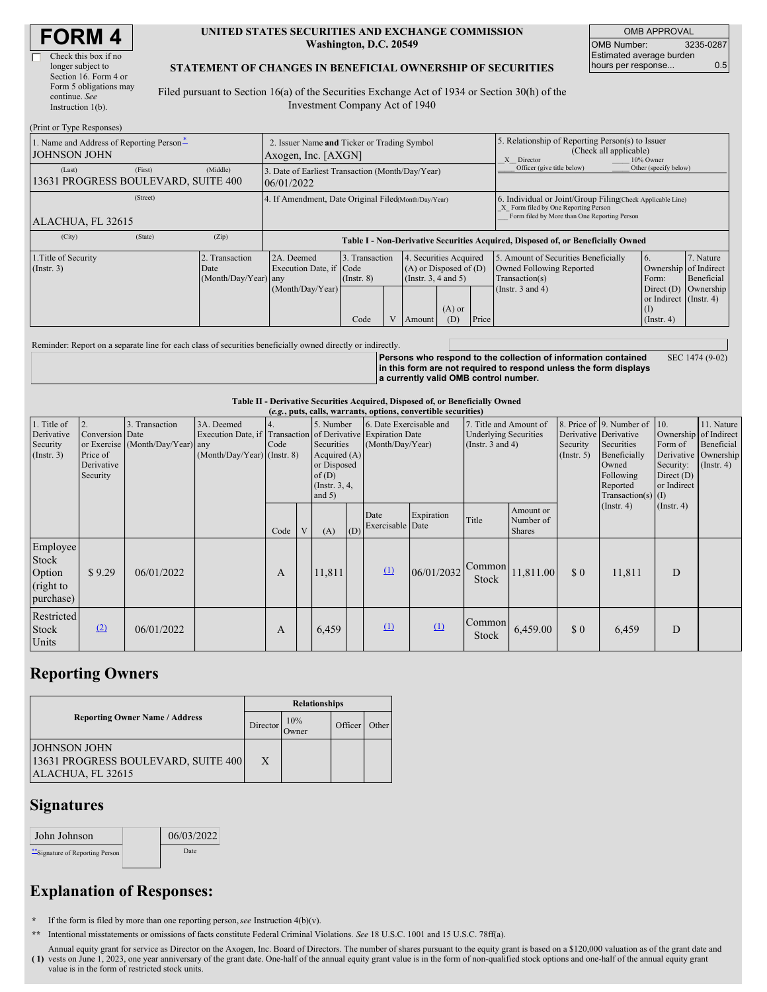| <b>FORM4</b> |  |
|--------------|--|
|--------------|--|

 $(D_{\text{start}} \sim T_{\text{sum}} \cap$ 

| Check this box if no   |
|------------------------|
| longer subject to      |
| Section 16. Form 4 or  |
| Form 5 obligations may |
| continue. See          |
| Instruction $l(b)$ .   |

#### **UNITED STATES SECURITIES AND EXCHANGE COMMISSION Washington, D.C. 20549**

OMB APPROVAL OMB Number: 3235-0287 Estimated average burden hours per response... **0.5** 

#### **STATEMENT OF CHANGES IN BENEFICIAL OWNERSHIP OF SECURITIES**

Filed pursuant to Section 16(a) of the Securities Exchange Act of 1934 or Section 30(h) of the Investment Company Act of 1940

| $(1 \text{ min of 1 ypc Rcspons}$                               |                                                                    |                                                      |                                                                |                                   |  |                                                                                 |                                                                                                       |                                                                                                                                                    |                                                                                    |                                                              |                         |
|-----------------------------------------------------------------|--------------------------------------------------------------------|------------------------------------------------------|----------------------------------------------------------------|-----------------------------------|--|---------------------------------------------------------------------------------|-------------------------------------------------------------------------------------------------------|----------------------------------------------------------------------------------------------------------------------------------------------------|------------------------------------------------------------------------------------|--------------------------------------------------------------|-------------------------|
| 1. Name and Address of Reporting Person-<br><b>JOHNSON JOHN</b> | 2. Issuer Name and Ticker or Trading Symbol<br>Axogen, Inc. [AXGN] |                                                      |                                                                |                                   |  |                                                                                 | 5. Relationship of Reporting Person(s) to Issuer<br>(Check all applicable)<br>X Director<br>10% Owner |                                                                                                                                                    |                                                                                    |                                                              |                         |
| (Last)<br>13631 PROGRESS BOULEVARD, SUITE 400                   | (First)                                                            | (Middle)                                             | 3. Date of Earliest Transaction (Month/Day/Year)<br>06/01/2022 |                                   |  |                                                                                 |                                                                                                       |                                                                                                                                                    | Officer (give title below)                                                         | Other (specify below)                                        |                         |
| ALACHUA, FL 32615                                               |                                                                    | 4. If Amendment, Date Original Filed(Month/Day/Year) |                                                                |                                   |  |                                                                                 |                                                                                                       | 6. Individual or Joint/Group Filing Check Applicable Line)<br>X Form filed by One Reporting Person<br>Form filed by More than One Reporting Person |                                                                                    |                                                              |                         |
| (City)                                                          | (Zip)<br>(State)                                                   |                                                      |                                                                |                                   |  |                                                                                 |                                                                                                       |                                                                                                                                                    | Table I - Non-Derivative Securities Acquired, Disposed of, or Beneficially Owned   |                                                              |                         |
| 1. Title of Security<br>(Insert. 3)                             |                                                                    | Transaction<br>Date<br>(Month/Day/Year) any          | 2A. Deemed<br>Execution Date, if Code                          | 3. Transaction<br>$($ Instr. $8)$ |  | . Securities Acquired<br>$(A)$ or Disposed of $(D)$<br>(Instr. $3, 4$ and $5$ ) |                                                                                                       |                                                                                                                                                    | 5. Amount of Securities Beneficially<br>Owned Following Reported<br>Transaction(s) | 6.<br>Ownership of Indirect<br>Form:                         | 7. Nature<br>Beneficial |
|                                                                 |                                                                    |                                                      | (Month/Day/Year)                                               | Code                              |  | Amount                                                                          | $(A)$ or<br>(D)                                                                                       | Price                                                                                                                                              | (Instr. $3$ and $4$ )                                                              | Direct $(D)$<br>or Indirect (Instr. 4)<br>(1)<br>(Insert. 4) | Ownership               |

Reminder: Report on a separate line for each class of securities beneficially owned directly or indirectly.

**Persons who respond to the collection of information contained in this form are not required to respond unless the form displays a currently valid OMB control number.** SEC 1474 (9-02)

**Table II - Derivative Securities Acquired, Disposed of, or Beneficially Owned**

| (e.g., puts, calls, warrants, options, convertible securities) |                                                             |                                                    |                                           |      |              |                                                                                                                                                                                                               |  |                                                                                   |                                                                                 |                        |                                         |                                                                                                                                           |                                                                                             |                                                                      |  |
|----------------------------------------------------------------|-------------------------------------------------------------|----------------------------------------------------|-------------------------------------------|------|--------------|---------------------------------------------------------------------------------------------------------------------------------------------------------------------------------------------------------------|--|-----------------------------------------------------------------------------------|---------------------------------------------------------------------------------|------------------------|-----------------------------------------|-------------------------------------------------------------------------------------------------------------------------------------------|---------------------------------------------------------------------------------------------|----------------------------------------------------------------------|--|
| 1. Title of<br>Derivative<br>Security<br>(Insert. 3)           | 2.<br>Conversion Date<br>Price of<br>Derivative<br>Security | 3. Transaction<br>or Exercise (Month/Day/Year) any | 3A. Deemed<br>(Month/Day/Year) (Instr. 8) | Code |              | 5. Number<br>6. Date Exercisable and<br>Execution Date, if Transaction of Derivative Expiration Date<br>(Month/Day/Year)<br>Securities<br>Acquired $(A)$<br>or Disposed<br>of(D)<br>(Instr. 3, 4,<br>and $5)$ |  |                                                                                   | 7. Title and Amount of<br><b>Underlying Securities</b><br>(Instr. $3$ and $4$ ) |                        | Security<br>$($ Instr. 5 $)$            | 8. Price of 9. Number of<br>Derivative Derivative<br>Securities<br>Beneficially<br>Owned<br>Following<br>Reported<br>Transaction(s) $(I)$ | $\vert$ 10.<br>Ownership of Indirect<br>Form of<br>Security:<br>Direct $(D)$<br>or Indirect | 11. Nature<br>Beneficial<br>Derivative Ownership<br>$($ Instr. 4 $)$ |  |
|                                                                |                                                             |                                                    |                                           | Code | $\mathbf{V}$ | (A)                                                                                                                                                                                                           |  | Date<br>$\left  \begin{array}{c} \text{(D)} \end{array} \right $ Exercisable Date | Expiration                                                                      | Title                  | Amount or<br>Number of<br><b>Shares</b> |                                                                                                                                           | $($ Instr. 4 $)$                                                                            | $($ Instr. 4 $)$                                                     |  |
| Employee<br>Stock<br>Option<br>(right to<br>purchase)          | \$9.29                                                      | 06/01/2022                                         |                                           | A    |              | 11,811                                                                                                                                                                                                        |  | $\Omega$                                                                          | 06/01/2032                                                                      | Common<br>Stock        | 11,811.00                               | \$0                                                                                                                                       | 11,811                                                                                      | D                                                                    |  |
| Restricted<br>Stock<br>Units                                   | (2)                                                         | 06/01/2022                                         |                                           | A    |              | 6,459                                                                                                                                                                                                         |  | $\Omega$                                                                          | (1)                                                                             | Common<br><b>Stock</b> | 6,459.00                                | \$0                                                                                                                                       | 6,459                                                                                       | D                                                                    |  |

## **Reporting Owners**

|                                                                                 | <b>Relationships</b> |               |                      |       |  |  |  |
|---------------------------------------------------------------------------------|----------------------|---------------|----------------------|-------|--|--|--|
| <b>Reporting Owner Name / Address</b>                                           | Director             | 10%<br>.)wner | Officer <sup>'</sup> | Other |  |  |  |
| <b>JOHNSON JOHN</b><br>13631 PROGRESS BOULEVARD, SUITE 400<br>ALACHUA, FL 32615 | X                    |               |                      |       |  |  |  |

### **Signatures**

| John Johnson                   | 06/03/2022 |
|--------------------------------|------------|
| "Signature of Reporting Person | Date       |

# **Explanation of Responses:**

**\*** If the form is filed by more than one reporting person,*see* Instruction 4(b)(v).

**\*\*** Intentional misstatements or omissions of facts constitute Federal Criminal Violations. *See* 18 U.S.C. 1001 and 15 U.S.C. 78ff(a).

**( 1)** vests on June 1, 2023, one year anniversary of the grant date. One-half of the annual equity grant value is in the form of non-qualified stock options and one-half of the annual equity grant Annual equity grant for service as Director on the Axogen, Inc. Board of Directors. The number of shares pursuant to the equity grant is based on a \$120,000 valuation as of the grant date and value is in the form of restricted stock units.